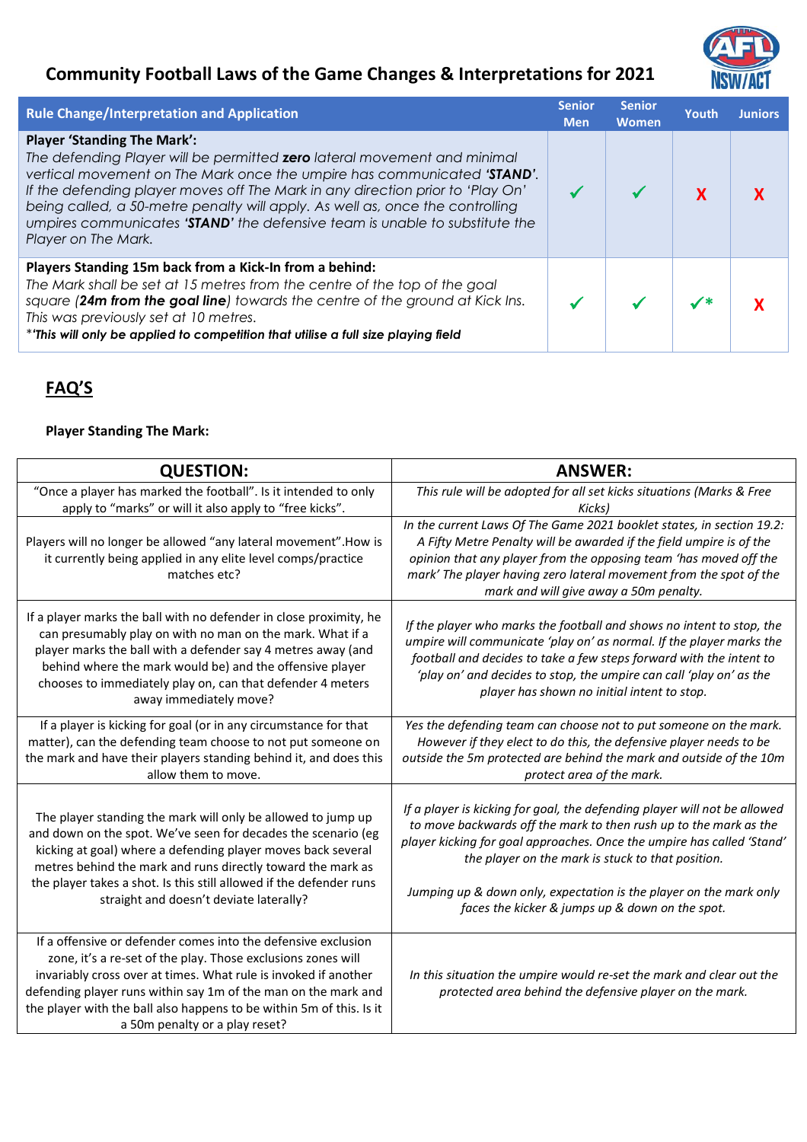## **Community Football Laws of the Game Changes & Interpretations for 2021**



| <b>Rule Change/Interpretation and Application</b>                                                                                                                                                                                                                                                                                                                                                                                                                         | <b>Senior</b><br><b>Men</b> | <b>Senior</b><br><b>Women</b> | Youth | <b>Juniors</b> |
|---------------------------------------------------------------------------------------------------------------------------------------------------------------------------------------------------------------------------------------------------------------------------------------------------------------------------------------------------------------------------------------------------------------------------------------------------------------------------|-----------------------------|-------------------------------|-------|----------------|
| <b>Player 'Standing The Mark':</b><br>The defending Player will be permitted <b>zero</b> lateral movement and minimal<br>vertical movement on The Mark once the umpire has communicated 'STAND'.<br>If the defending player moves off The Mark in any direction prior to 'Play On'<br>being called, a 50-metre penalty will apply. As well as, once the controlling<br>umpires communicates 'STAND' the defensive team is unable to substitute the<br>Player on The Mark. |                             |                               |       |                |
| Players Standing 15m back from a Kick-In from a behind:<br>The Mark shall be set at 15 metres from the centre of the top of the goal<br>square (24m from the goal line) towards the centre of the ground at Kick Ins.<br>This was previously set at 10 metres.<br>*'This will only be applied to competition that utilise a full size playing field                                                                                                                       |                             |                               |       |                |

## **FAQ'S**

## **Player Standing The Mark:**

| <b>QUESTION:</b>                                                                                                                                                                                                                                                                                                                                                                                                                                                                                                                                                                                                                                                                                                                                                                         | <b>ANSWER:</b>                                                                                                                                                                                                                                                                                                                             |
|------------------------------------------------------------------------------------------------------------------------------------------------------------------------------------------------------------------------------------------------------------------------------------------------------------------------------------------------------------------------------------------------------------------------------------------------------------------------------------------------------------------------------------------------------------------------------------------------------------------------------------------------------------------------------------------------------------------------------------------------------------------------------------------|--------------------------------------------------------------------------------------------------------------------------------------------------------------------------------------------------------------------------------------------------------------------------------------------------------------------------------------------|
| "Once a player has marked the football". Is it intended to only                                                                                                                                                                                                                                                                                                                                                                                                                                                                                                                                                                                                                                                                                                                          | This rule will be adopted for all set kicks situations (Marks & Free                                                                                                                                                                                                                                                                       |
| apply to "marks" or will it also apply to "free kicks".                                                                                                                                                                                                                                                                                                                                                                                                                                                                                                                                                                                                                                                                                                                                  | <b>Kicks</b>                                                                                                                                                                                                                                                                                                                               |
| Players will no longer be allowed "any lateral movement". How is<br>it currently being applied in any elite level comps/practice<br>matches etc?                                                                                                                                                                                                                                                                                                                                                                                                                                                                                                                                                                                                                                         | In the current Laws Of The Game 2021 booklet states, in section 19.2:<br>A Fifty Metre Penalty will be awarded if the field umpire is of the<br>opinion that any player from the opposing team 'has moved off the<br>mark' The player having zero lateral movement from the spot of the<br>mark and will give away a 50m penalty.          |
| If a player marks the ball with no defender in close proximity, he<br>can presumably play on with no man on the mark. What if a<br>player marks the ball with a defender say 4 metres away (and<br>behind where the mark would be) and the offensive player<br>chooses to immediately play on, can that defender 4 meters<br>away immediately move?                                                                                                                                                                                                                                                                                                                                                                                                                                      | If the player who marks the football and shows no intent to stop, the<br>umpire will communicate 'play on' as normal. If the player marks the<br>football and decides to take a few steps forward with the intent to<br>'play on' and decides to stop, the umpire can call 'play on' as the<br>player has shown no initial intent to stop. |
| If a player is kicking for goal (or in any circumstance for that<br>matter), can the defending team choose to not put someone on<br>the mark and have their players standing behind it, and does this<br>allow them to move.                                                                                                                                                                                                                                                                                                                                                                                                                                                                                                                                                             | Yes the defending team can choose not to put someone on the mark.<br>However if they elect to do this, the defensive player needs to be<br>outside the 5m protected are behind the mark and outside of the 10m<br>protect area of the mark.                                                                                                |
| If a player is kicking for goal, the defending player will not be allowed<br>The player standing the mark will only be allowed to jump up<br>to move backwards off the mark to then rush up to the mark as the<br>and down on the spot. We've seen for decades the scenario (eg<br>player kicking for goal approaches. Once the umpire has called 'Stand'<br>kicking at goal) where a defending player moves back several<br>the player on the mark is stuck to that position.<br>metres behind the mark and runs directly toward the mark as<br>the player takes a shot. Is this still allowed if the defender runs<br>Jumping up & down only, expectation is the player on the mark only<br>straight and doesn't deviate laterally?<br>faces the kicker & jumps up & down on the spot. |                                                                                                                                                                                                                                                                                                                                            |
| If a offensive or defender comes into the defensive exclusion<br>zone, it's a re-set of the play. Those exclusions zones will<br>invariably cross over at times. What rule is invoked if another<br>defending player runs within say 1m of the man on the mark and<br>the player with the ball also happens to be within 5m of this. Is it<br>a 50m penalty or a play reset?                                                                                                                                                                                                                                                                                                                                                                                                             | In this situation the umpire would re-set the mark and clear out the<br>protected area behind the defensive player on the mark.                                                                                                                                                                                                            |